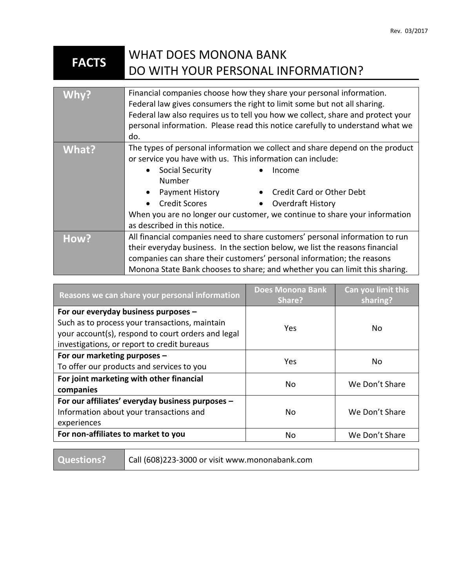## **FACTS** WHAT DOES MONONA BANK DO WITH YOUR PERSONAL INFORMATION?

| Whv?  | Financial companies choose how they share your personal information.<br>Federal law gives consumers the right to limit some but not all sharing.<br>Federal law also requires us to tell you how we collect, share and protect your<br>personal information. Please read this notice carefully to understand what we<br>do.                                                                                 |
|-------|-------------------------------------------------------------------------------------------------------------------------------------------------------------------------------------------------------------------------------------------------------------------------------------------------------------------------------------------------------------------------------------------------------------|
| What? | The types of personal information we collect and share depend on the product<br>or service you have with us. This information can include:<br>Social Security<br>Income<br>Number<br>Credit Card or Other Debt<br>Payment History<br><b>Credit Scores</b><br>• Overdraft History<br>$\bullet$<br>When you are no longer our customer, we continue to share your information<br>as described in this notice. |
| How?  | All financial companies need to share customers' personal information to run<br>their everyday business. In the section below, we list the reasons financial<br>companies can share their customers' personal information; the reasons<br>Monona State Bank chooses to share; and whether you can limit this sharing.                                                                                       |

| Reasons we can share your personal information                                                                                                                                              | <b>Does Monona Bank</b><br>Share? | Can you limit this<br>sharing? |
|---------------------------------------------------------------------------------------------------------------------------------------------------------------------------------------------|-----------------------------------|--------------------------------|
| For our everyday business purposes -<br>Such as to process your transactions, maintain<br>your account(s), respond to court orders and legal<br>investigations, or report to credit bureaus | Yes                               | No.                            |
| For our marketing purposes -<br>To offer our products and services to you                                                                                                                   | Yes                               | No.                            |
| For joint marketing with other financial<br>companies                                                                                                                                       | No                                | We Don't Share                 |
| For our affiliates' everyday business purposes -<br>Information about your transactions and<br>experiences                                                                                  | No                                | We Don't Share                 |
| For non-affiliates to market to you                                                                                                                                                         | No                                | We Don't Share                 |

| Questions?   Call (608)223-3000 or visit www.mononabank.com |  |
|-------------------------------------------------------------|--|
|-------------------------------------------------------------|--|